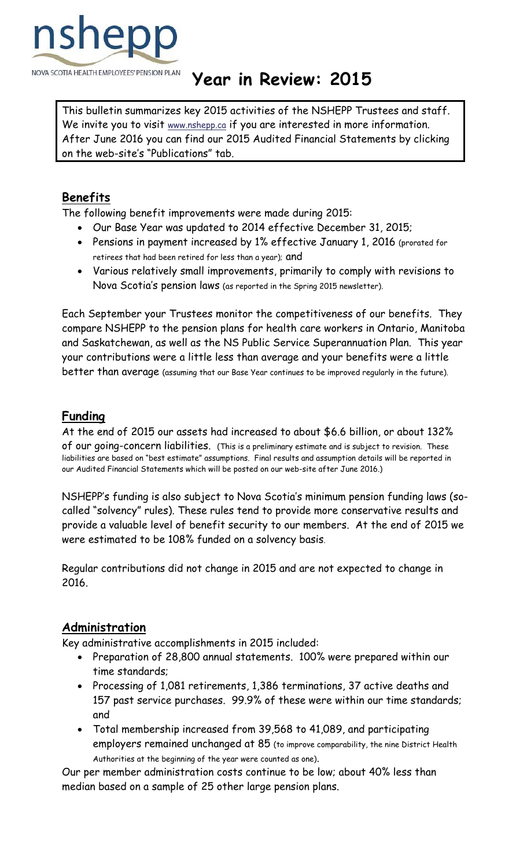

# NOVA SCOTIA HEALTH EMPLOYEES' PENSION PLAN **Year in Review: 2015**

This bulletin summarizes key 2015 activities of the NSHEPP Trustees and staff. We invite you to visit www.nshepp.ca if you are interested in more information. After June 2016 you can find our 2015 Audited Financial Statements by clicking on the web-site's "Publications" tab.

# **Benefits**

The following benefit improvements were made during 2015:

- Our Base Year was updated to 2014 effective December 31, 2015;
- Pensions in payment increased by 1% effective January 1, 2016 (prorated for retirees that had been retired for less than a year); and
- Various relatively small improvements, primarily to comply with revisions to Nova Scotia's pension laws (as reported in the Spring 2015 newsletter).

Each September your Trustees monitor the competitiveness of our benefits. They compare NSHEPP to the pension plans for health care workers in Ontario, Manitoba and Saskatchewan, as well as the NS Public Service Superannuation Plan. This year your contributions were a little less than average and your benefits were a little better than average (assuming that our Base Year continues to be improved regularly in the future).

## **Funding**

At the end of 2015 our assets had increased to about \$6.6 billion, or about 132% of our going-concern liabilities. (This is a preliminary estimate and is subject to revision. These liabilities are based on "best estimate" assumptions. Final results and assumption details will be reported in our Audited Financial Statements which will be posted on our web-site after June 2016.)

NSHEPP's funding is also subject to Nova Scotia's minimum pension funding laws (socalled "solvency" rules). These rules tend to provide more conservative results and provide a valuable level of benefit security to our members. At the end of 2015 we were estimated to be 108% funded on a solvency basis.

Regular contributions did not change in 2015 and are not expected to change in 2016.

#### **Administration**

Key administrative accomplishments in 2015 included:

- Preparation of 28,800 annual statements. 100% were prepared within our time standards;
- Processing of 1,081 retirements, 1,386 terminations, 37 active deaths and 157 past service purchases. 99.9% of these were within our time standards; and
- Total membership increased from 39,568 to 41,089, and participating employers remained unchanged at 85 (to improve comparability, the nine District Health Authorities at the beginning of the year were counted as one).

Our per member administration costs continue to be low; about 40% less than median based on a sample of 25 other large pension plans.